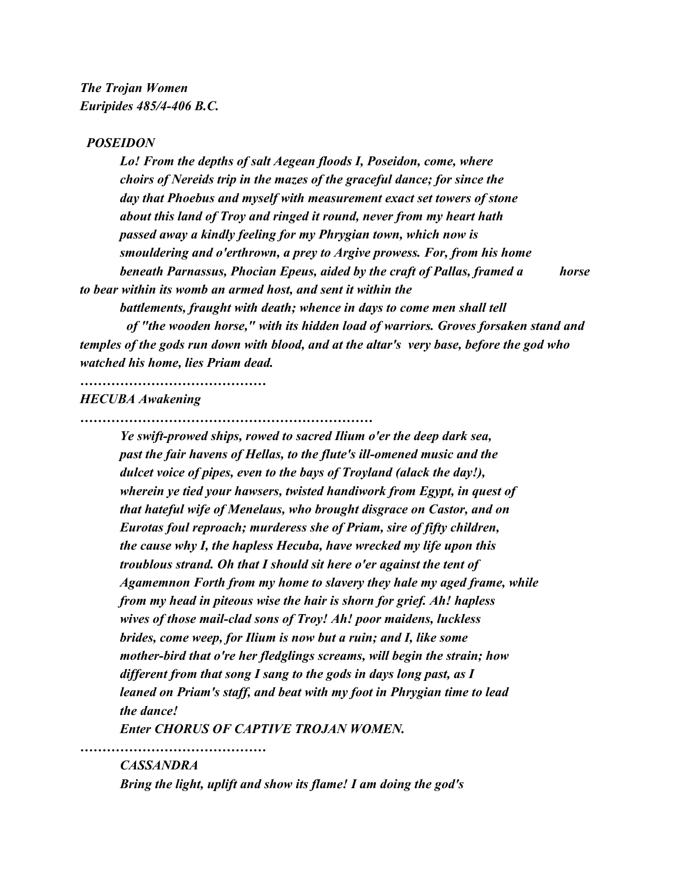## *POSEIDON*

*Lo! From the depths of salt Aegean floods I, Poseidon, come, where choirs of Nereids trip in the mazes of the graceful dance; for since the day that Phoebus and myself with measurement exact set towers of stone about this land of Troy and ringed it round, never from my heart hath passed away a kindly feeling for my Phrygian town, which now is smouldering and o'erthrown, a prey to Argive prowess. For, from his home beneath Parnassus, Phocian Epeus, aided by the craft of Pallas, framed a horse to bear within its womb an armed host, and sent it within the*

*battlements, fraught with death; whence in days to come men shall tell*

 *of "the wooden horse," with its hidden load of warriors. Groves forsaken stand and temples of the gods run down with blood, and at the altar's very base, before the god who watched his home, lies Priam dead.*

## *HECUBA Awakening*

*……………………………………*

*…………………………………………………………*

*Ye swift-prowed ships, rowed to sacred Ilium o'er the deep dark sea, past the fair havens of Hellas, to the flute's ill-omened music and the dulcet voice of pipes, even to the bays of Troyland (alack the day!), wherein ye tied your hawsers, twisted handiwork from Egypt, in quest of that hateful wife of Menelaus, who brought disgrace on Castor, and on Eurotas foul reproach; murderess she of Priam, sire of fifty children, the cause why I, the hapless Hecuba, have wrecked my life upon this troublous strand. Oh that I should sit here o'er against the tent of Agamemnon Forth from my home to slavery they hale my aged frame, while from my head in piteous wise the hair is shorn for grief. Ah! hapless wives of those mail-clad sons of Troy! Ah! poor maidens, luckless brides, come weep, for Ilium is now but a ruin; and I, like some mother-bird that o're her fledglings screams, will begin the strain; how different from that song I sang to the gods in days long past, as I leaned on Priam's staff, and beat with my foot in Phrygian time to lead the dance!*

*Enter CHORUS OF CAPTIVE TROJAN WOMEN.*

## *CASSANDRA*

*……………………………………*

*Bring the light, uplift and show its flame! I am doing the god's*